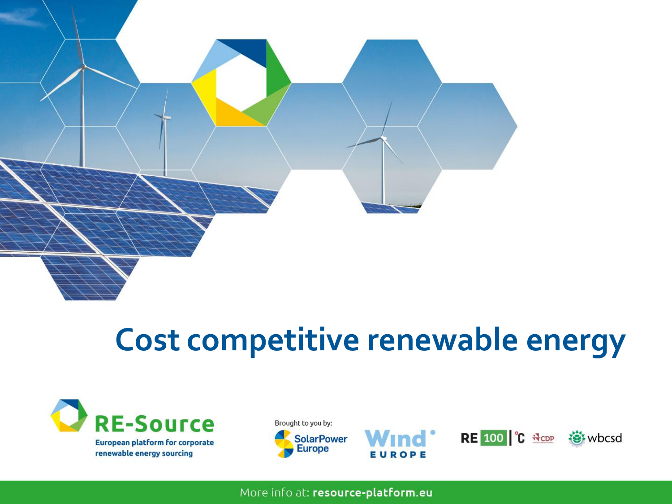

## **Cost competitive renewable energy**











More info at: resource-platform.eu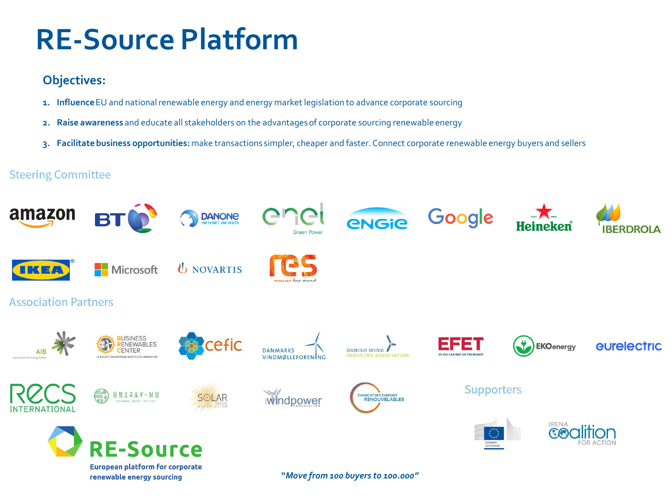## **RE-Source Platform**

### **Objectives:**

- **1. Influence** EU and national renewable energy and energy market legislation to advance corporate sourcing
- **2. Raise awareness** and educate all stakeholders on the advantages of corporate sourcing renewable energy
- **3. Facilitate business opportunities:** make transactions simpler, cheaper and faster. Connect corporate renewable energy buyers and sellers

### **Steering Committee**

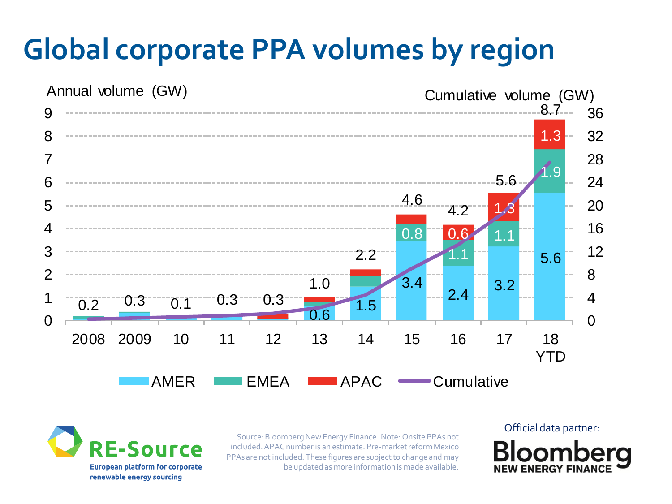# **Global corporate PPA volumes by region**



rre **European platform for corporate** renewable energy sourcing

Source: Bloomberg New Energy Finance Note: Onsite PPAs not included. APAC number is an estimate. Pre-market reform Mexico PPAs are not included. These figures are subject to change and may be updated as more information is made available.

Official data partner: **NEW ENERGY FIN**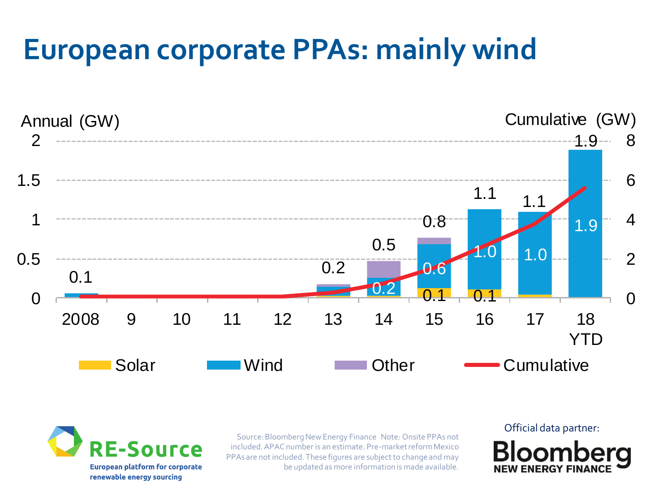## **European corporate PPAs: mainly wind**





Source: Bloomberg New Energy Finance Note: Onsite PPAs not included. APAC number is an estimate. Pre-market reform Mexico PPAs are not included. These figures are subject to change and may be updated as more information is made available.

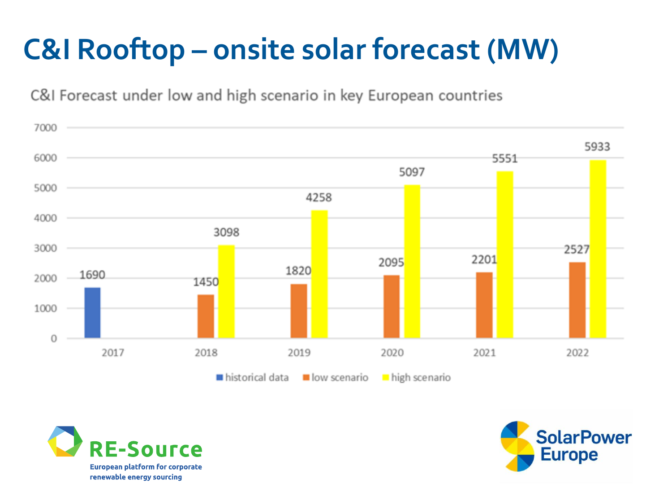# **C&I Rooftop – onsite solar forecast (MW)**







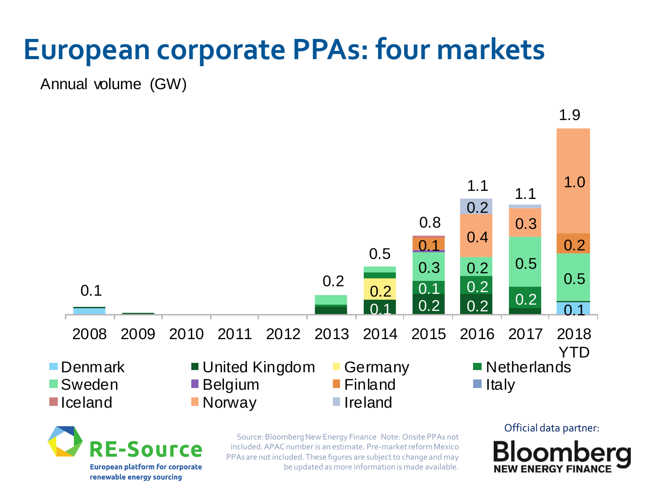## **European corporate PPAs: four markets**

Annual volume (GW)



**F-Source European platform for corporate** 

renewable energy sourcing

Source: Bloomberg New Energy Finance Note: Onsite PPAs not included. APAC number is an estimate. Pre-market reform Mexico PPAs are not included. These figures are subject to change and may be updated as more information is made available.

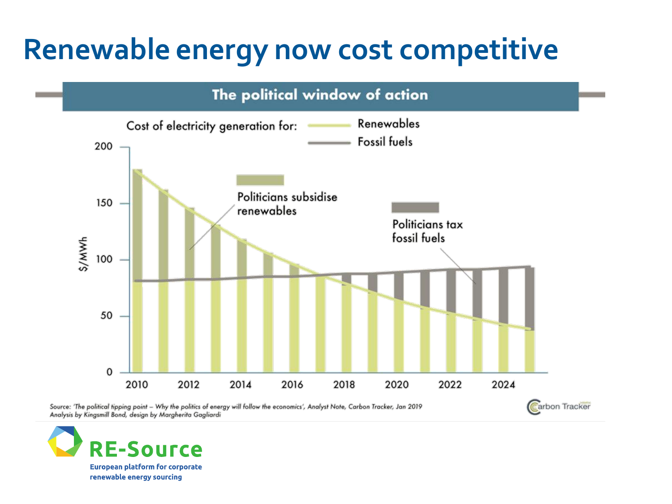## **Renewable energy now cost competitive**



Source: 'The political tipping point - Why the politics of energy will follow the economics', Analyst Note, Carbon Tracker, Jan 2019 Analysis by Kingsmill Bond, design by Margherita Gagliardi



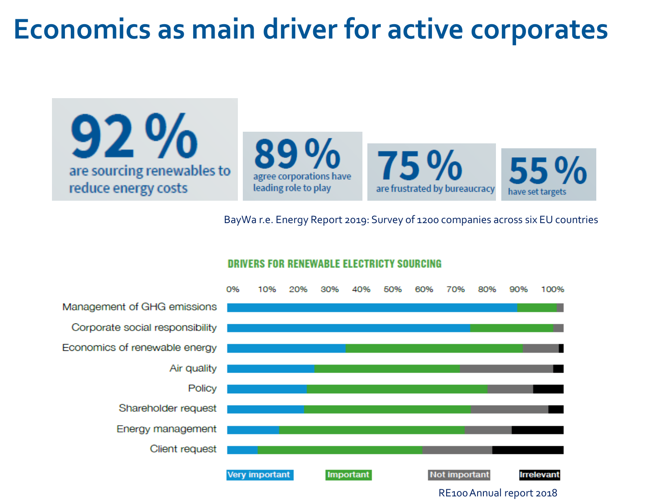### **Economics as main driver for active corporates**

are sourcing renewables to reduce energy costs





BayWa r.e. Energy Report 2019: Survey of 1200 companies across six EU countries



#### **DRIVERS FOR RENEWABLE ELECTRICTY SOURCING**